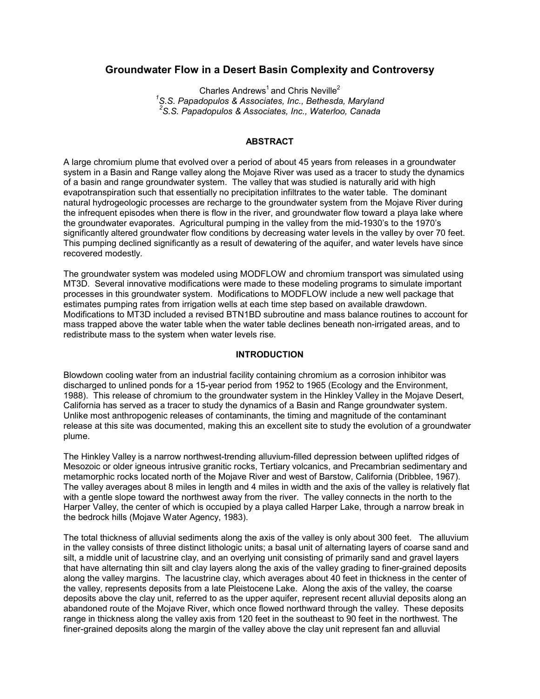# **Groundwater Flow in a Desert Basin Complexity and Controversy**

Charles Andrews<sup>1</sup> and Chris Neville<sup>2</sup> *1 S.S. Papadopulos & Associates, Inc., Bethesda, Maryland 2 S.S. Papadopulos & Associates, Inc., Waterloo, Canada*

#### **ABSTRACT**

A large chromium plume that evolved over a period of about 45 years from releases in a groundwater system in a Basin and Range valley along the Mojave River was used as a tracer to study the dynamics of a basin and range groundwater system. The valley that was studied is naturally arid with high evapotranspiration such that essentially no precipitation infiltrates to the water table. The dominant natural hydrogeologic processes are recharge to the groundwater system from the Mojave River during the infrequent episodes when there is flow in the river, and groundwater flow toward a playa lake where the groundwater evaporates. Agricultural pumping in the valley from the mid-1930's to the 1970's significantly altered groundwater flow conditions by decreasing water levels in the valley by over 70 feet. This pumping declined significantly as a result of dewatering of the aquifer, and water levels have since recovered modestly.

The groundwater system was modeled using MODFLOW and chromium transport was simulated using MT3D. Several innovative modifications were made to these modeling programs to simulate important processes in this groundwater system. Modifications to MODFLOW include a new well package that estimates pumping rates from irrigation wells at each time step based on available drawdown. Modifications to MT3D included a revised BTN1BD subroutine and mass balance routines to account for mass trapped above the water table when the water table declines beneath non-irrigated areas, and to redistribute mass to the system when water levels rise.

## **INTRODUCTION**

Blowdown cooling water from an industrial facility containing chromium as a corrosion inhibitor was discharged to unlined ponds for a 15-year period from 1952 to 1965 (Ecology and the Environment, 1988). This release of chromium to the groundwater system in the Hinkley Valley in the Mojave Desert, California has served as a tracer to study the dynamics of a Basin and Range groundwater system. Unlike most anthropogenic releases of contaminants, the timing and magnitude of the contaminant release at this site was documented, making this an excellent site to study the evolution of a groundwater plume.

The Hinkley Valley is a narrow northwest-trending alluvium-filled depression between uplifted ridges of Mesozoic or older igneous intrusive granitic rocks, Tertiary volcanics, and Precambrian sedimentary and metamorphic rocks located north of the Mojave River and west of Barstow, California (Dribblee, 1967). The valley averages about 8 miles in length and 4 miles in width and the axis of the valley is relatively flat with a gentle slope toward the northwest away from the river. The valley connects in the north to the Harper Valley, the center of which is occupied by a playa called Harper Lake, through a narrow break in the bedrock hills (Mojave Water Agency, 1983).

The total thickness of alluvial sediments along the axis of the valley is only about 300 feet. The alluvium in the valley consists of three distinct lithologic units; a basal unit of alternating layers of coarse sand and silt, a middle unit of lacustrine clay, and an overlying unit consisting of primarily sand and gravel layers that have alternating thin silt and clay layers along the axis of the valley grading to finer-grained deposits along the valley margins. The lacustrine clay, which averages about 40 feet in thickness in the center of the valley, represents deposits from a late Pleistocene Lake. Along the axis of the valley, the coarse deposits above the clay unit, referred to as the upper aquifer, represent recent alluvial deposits along an abandoned route of the Mojave River, which once flowed northward through the valley. These deposits range in thickness along the valley axis from 120 feet in the southeast to 90 feet in the northwest. The finer-grained deposits along the margin of the valley above the clay unit represent fan and alluvial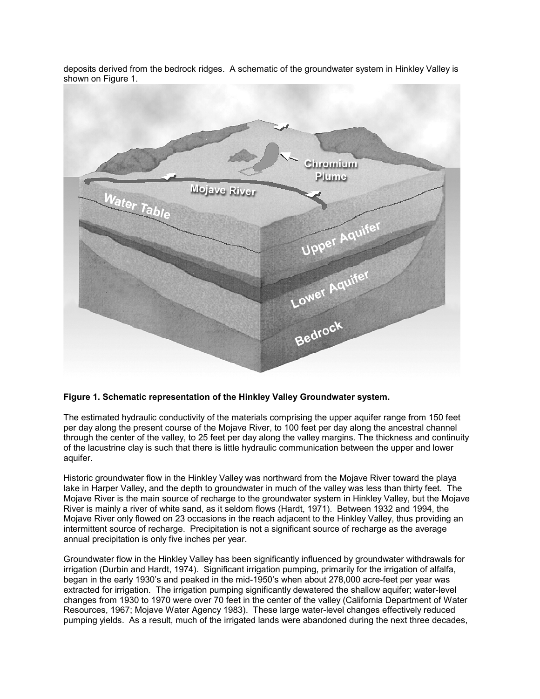deposits derived from the bedrock ridges. A schematic of the groundwater system in Hinkley Valley is shown on Figure 1.



## **Figure 1. Schematic representation of the Hinkley Valley Groundwater system.**

The estimated hydraulic conductivity of the materials comprising the upper aquifer range from 150 feet per day along the present course of the Mojave River, to 100 feet per day along the ancestral channel through the center of the valley, to 25 feet per day along the valley margins. The thickness and continuity of the lacustrine clay is such that there is little hydraulic communication between the upper and lower aquifer.

Historic groundwater flow in the Hinkley Valley was northward from the Mojave River toward the playa lake in Harper Valley, and the depth to groundwater in much of the valley was less than thirty feet. The Mojave River is the main source of recharge to the groundwater system in Hinkley Valley, but the Mojave River is mainly a river of white sand, as it seldom flows (Hardt, 1971). Between 1932 and 1994, the Mojave River only flowed on 23 occasions in the reach adjacent to the Hinkley Valley, thus providing an intermittent source of recharge. Precipitation is not a significant source of recharge as the average annual precipitation is only five inches per year.

Groundwater flow in the Hinkley Valley has been significantly influenced by groundwater withdrawals for irrigation (Durbin and Hardt, 1974). Significant irrigation pumping, primarily for the irrigation of alfalfa, began in the early 1930's and peaked in the mid-1950's when about 278,000 acre-feet per year was extracted for irrigation. The irrigation pumping significantly dewatered the shallow aquifer; water-level changes from 1930 to 1970 were over 70 feet in the center of the valley (California Department of Water Resources, 1967; Mojave Water Agency 1983). These large water-level changes effectively reduced pumping yields. As a result, much of the irrigated lands were abandoned during the next three decades,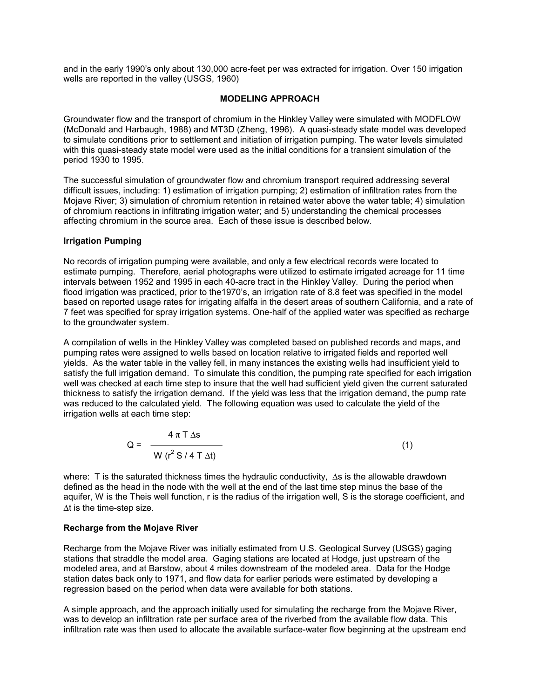and in the early 1990's only about 130,000 acre-feet per was extracted for irrigation. Over 150 irrigation wells are reported in the valley (USGS, 1960)

## **MODELING APPROACH**

Groundwater flow and the transport of chromium in the Hinkley Valley were simulated with MODFLOW (McDonald and Harbaugh, 1988) and MT3D (Zheng, 1996). A quasi-steady state model was developed to simulate conditions prior to settlement and initiation of irrigation pumping. The water levels simulated with this quasi-steady state model were used as the initial conditions for a transient simulation of the period 1930 to 1995.

The successful simulation of groundwater flow and chromium transport required addressing several difficult issues, including: 1) estimation of irrigation pumping; 2) estimation of infiltration rates from the Mojave River; 3) simulation of chromium retention in retained water above the water table; 4) simulation of chromium reactions in infiltrating irrigation water; and 5) understanding the chemical processes affecting chromium in the source area. Each of these issue is described below.

# **Irrigation Pumping**

No records of irrigation pumping were available, and only a few electrical records were located to estimate pumping. Therefore, aerial photographs were utilized to estimate irrigated acreage for 11 time intervals between 1952 and 1995 in each 40-acre tract in the Hinkley Valley. During the period when flood irrigation was practiced, prior to the1970's, an irrigation rate of 8.8 feet was specified in the model based on reported usage rates for irrigating alfalfa in the desert areas of southern California, and a rate of 7 feet was specified for spray irrigation systems. One-half of the applied water was specified as recharge to the groundwater system.

A compilation of wells in the Hinkley Valley was completed based on published records and maps, and pumping rates were assigned to wells based on location relative to irrigated fields and reported well yields. As the water table in the valley fell, in many instances the existing wells had insufficient yield to satisfy the full irrigation demand. To simulate this condition, the pumping rate specified for each irrigation well was checked at each time step to insure that the well had sufficient yield given the current saturated thickness to satisfy the irrigation demand. If the yield was less that the irrigation demand, the pump rate was reduced to the calculated yield. The following equation was used to calculate the yield of the irrigation wells at each time step:

$$
Q = \frac{4 \pi T \Delta s}{W (r^2 S / 4 T \Delta t)}
$$
 (1)

where: T is the saturated thickness times the hydraulic conductivity, ∆s is the allowable drawdown defined as the head in the node with the well at the end of the last time step minus the base of the aquifer, W is the Theis well function, r is the radius of the irrigation well, S is the storage coefficient, and ∆t is the time-step size.

## **Recharge from the Mojave River**

Recharge from the Mojave River was initially estimated from U.S. Geological Survey (USGS) gaging stations that straddle the model area. Gaging stations are located at Hodge, just upstream of the modeled area, and at Barstow, about 4 miles downstream of the modeled area. Data for the Hodge station dates back only to 1971, and flow data for earlier periods were estimated by developing a regression based on the period when data were available for both stations.

A simple approach, and the approach initially used for simulating the recharge from the Mojave River, was to develop an infiltration rate per surface area of the riverbed from the available flow data. This infiltration rate was then used to allocate the available surface-water flow beginning at the upstream end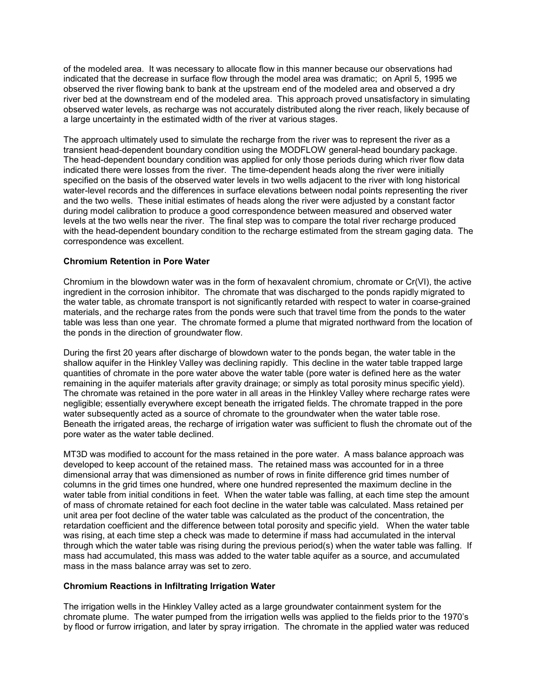of the modeled area. It was necessary to allocate flow in this manner because our observations had indicated that the decrease in surface flow through the model area was dramatic; on April 5, 1995 we observed the river flowing bank to bank at the upstream end of the modeled area and observed a dry river bed at the downstream end of the modeled area. This approach proved unsatisfactory in simulating observed water levels, as recharge was not accurately distributed along the river reach, likely because of a large uncertainty in the estimated width of the river at various stages.

The approach ultimately used to simulate the recharge from the river was to represent the river as a transient head-dependent boundary condition using the MODFLOW general-head boundary package. The head-dependent boundary condition was applied for only those periods during which river flow data indicated there were losses from the river. The time-dependent heads along the river were initially specified on the basis of the observed water levels in two wells adjacent to the river with long historical water-level records and the differences in surface elevations between nodal points representing the river and the two wells. These initial estimates of heads along the river were adjusted by a constant factor during model calibration to produce a good correspondence between measured and observed water levels at the two wells near the river. The final step was to compare the total river recharge produced with the head-dependent boundary condition to the recharge estimated from the stream gaging data. The correspondence was excellent.

# **Chromium Retention in Pore Water**

Chromium in the blowdown water was in the form of hexavalent chromium, chromate or Cr(VI), the active ingredient in the corrosion inhibitor. The chromate that was discharged to the ponds rapidly migrated to the water table, as chromate transport is not significantly retarded with respect to water in coarse-grained materials, and the recharge rates from the ponds were such that travel time from the ponds to the water table was less than one year. The chromate formed a plume that migrated northward from the location of the ponds in the direction of groundwater flow.

During the first 20 years after discharge of blowdown water to the ponds began, the water table in the shallow aquifer in the Hinkley Valley was declining rapidly. This decline in the water table trapped large quantities of chromate in the pore water above the water table (pore water is defined here as the water remaining in the aquifer materials after gravity drainage; or simply as total porosity minus specific yield). The chromate was retained in the pore water in all areas in the Hinkley Valley where recharge rates were negligible; essentially everywhere except beneath the irrigated fields. The chromate trapped in the pore water subsequently acted as a source of chromate to the groundwater when the water table rose. Beneath the irrigated areas, the recharge of irrigation water was sufficient to flush the chromate out of the pore water as the water table declined.

MT3D was modified to account for the mass retained in the pore water. A mass balance approach was developed to keep account of the retained mass. The retained mass was accounted for in a three dimensional array that was dimensioned as number of rows in finite difference grid times number of columns in the grid times one hundred, where one hundred represented the maximum decline in the water table from initial conditions in feet. When the water table was falling, at each time step the amount of mass of chromate retained for each foot decline in the water table was calculated. Mass retained per unit area per foot decline of the water table was calculated as the product of the concentration, the retardation coefficient and the difference between total porosity and specific yield. When the water table was rising, at each time step a check was made to determine if mass had accumulated in the interval through which the water table was rising during the previous period(s) when the water table was falling. If mass had accumulated, this mass was added to the water table aquifer as a source, and accumulated mass in the mass balance array was set to zero.

## **Chromium Reactions in Infiltrating Irrigation Water**

The irrigation wells in the Hinkley Valley acted as a large groundwater containment system for the chromate plume. The water pumped from the irrigation wells was applied to the fields prior to the 1970's by flood or furrow irrigation, and later by spray irrigation. The chromate in the applied water was reduced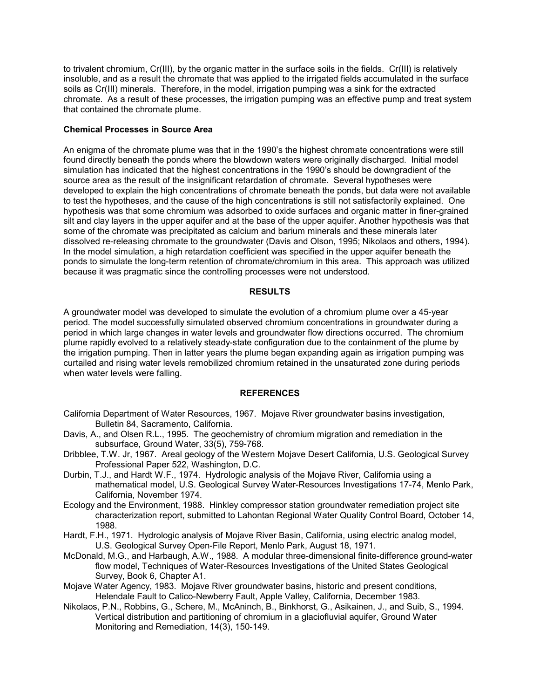to trivalent chromium, Cr(III), by the organic matter in the surface soils in the fields. Cr(III) is relatively insoluble, and as a result the chromate that was applied to the irrigated fields accumulated in the surface soils as Cr(III) minerals. Therefore, in the model, irrigation pumping was a sink for the extracted chromate. As a result of these processes, the irrigation pumping was an effective pump and treat system that contained the chromate plume.

## **Chemical Processes in Source Area**

An enigma of the chromate plume was that in the 1990's the highest chromate concentrations were still found directly beneath the ponds where the blowdown waters were originally discharged. Initial model simulation has indicated that the highest concentrations in the 1990's should be downgradient of the source area as the result of the insignificant retardation of chromate. Several hypotheses were developed to explain the high concentrations of chromate beneath the ponds, but data were not available to test the hypotheses, and the cause of the high concentrations is still not satisfactorily explained. One hypothesis was that some chromium was adsorbed to oxide surfaces and organic matter in finer-grained silt and clay layers in the upper aquifer and at the base of the upper aquifer. Another hypothesis was that some of the chromate was precipitated as calcium and barium minerals and these minerals later dissolved re-releasing chromate to the groundwater (Davis and Olson, 1995; Nikolaos and others, 1994). In the model simulation, a high retardation coefficient was specified in the upper aquifer beneath the ponds to simulate the long-term retention of chromate/chromium in this area. This approach was utilized because it was pragmatic since the controlling processes were not understood.

#### **RESULTS**

A groundwater model was developed to simulate the evolution of a chromium plume over a 45-year period. The model successfully simulated observed chromium concentrations in groundwater during a period in which large changes in water levels and groundwater flow directions occurred. The chromium plume rapidly evolved to a relatively steady-state configuration due to the containment of the plume by the irrigation pumping. Then in latter years the plume began expanding again as irrigation pumping was curtailed and rising water levels remobilized chromium retained in the unsaturated zone during periods when water levels were falling.

## **REFERENCES**

- California Department of Water Resources, 1967. Mojave River groundwater basins investigation, Bulletin 84, Sacramento, California.
- Davis, A., and Olsen R.L., 1995. The geochemistry of chromium migration and remediation in the subsurface, Ground Water, 33(5), 759-768.
- Dribblee, T.W. Jr, 1967. Areal geology of the Western Mojave Desert California, U.S. Geological Survey Professional Paper 522, Washington, D.C.
- Durbin, T.J., and Hardt W.F., 1974. Hydrologic analysis of the Mojave River, California using a mathematical model, U.S. Geological Survey Water-Resources Investigations 17-74, Menlo Park, California, November 1974.
- Ecology and the Environment, 1988. Hinkley compressor station groundwater remediation project site characterization report, submitted to Lahontan Regional Water Quality Control Board, October 14, 1988.
- Hardt, F.H., 1971. Hydrologic analysis of Mojave River Basin, California, using electric analog model, U.S. Geological Survey Open-File Report, Menlo Park, August 18, 1971.
- McDonald, M.G., and Harbaugh, A.W., 1988. A modular three-dimensional finite-difference ground-water flow model, Techniques of Water-Resources Investigations of the United States Geological Survey, Book 6, Chapter A1.
- Mojave Water Agency, 1983. Mojave River groundwater basins, historic and present conditions, Helendale Fault to Calico-Newberry Fault, Apple Valley, California, December 1983.
- Nikolaos, P.N., Robbins, G., Schere, M., McAninch, B., Binkhorst, G., Asikainen, J., and Suib, S., 1994. Vertical distribution and partitioning of chromium in a glaciofluvial aquifer, Ground Water Monitoring and Remediation, 14(3), 150-149.